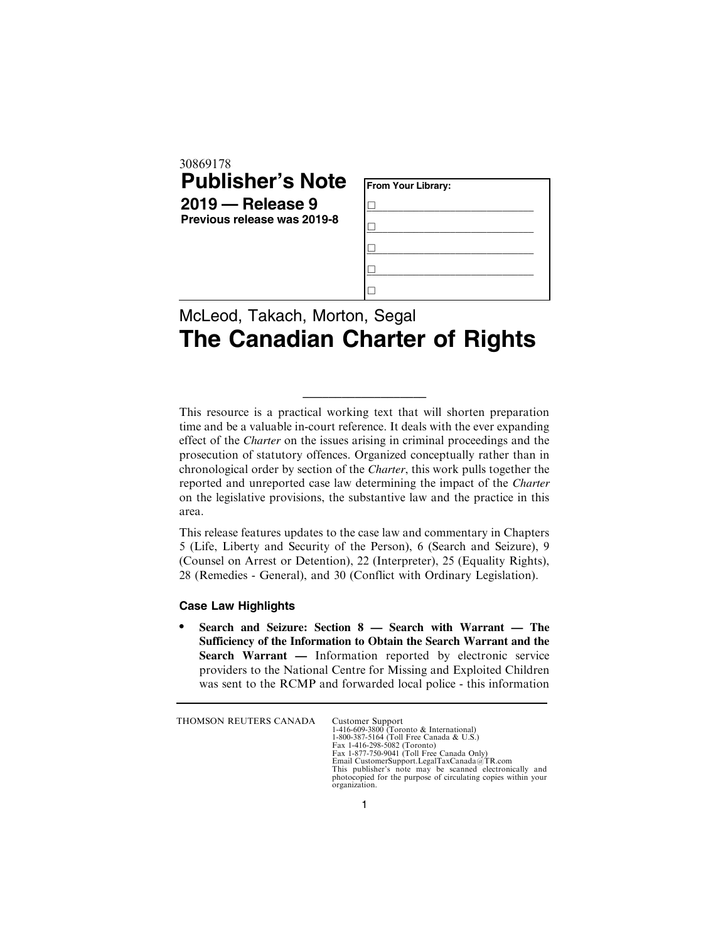| <b>Publisher's Note</b><br>$2019$ – Release 9<br>Previous release was 2019-8 | From Your Library: |  |
|------------------------------------------------------------------------------|--------------------|--|
|                                                                              |                    |  |
|                                                                              |                    |  |
|                                                                              |                    |  |
|                                                                              |                    |  |
|                                                                              |                    |  |

## McLeod, Takach, Morton, Segal **The Canadian Charter of Rights**

This resource is a practical working text that will shorten preparation time and be a valuable in-court reference. It deals with the ever expanding effect of the *Charter* on the issues arising in criminal proceedings and the prosecution of statutory offences. Organized conceptually rather than in chronological order by section of the *Charter*, this work pulls together the reported and unreported case law determining the impact of the *Charter* on the legislative provisions, the substantive law and the practice in this area.

\_\_\_\_\_\_\_\_\_\_\_\_\_\_\_\_\_\_\_

This release features updates to the case law and commentary in Chapters 5 (Life, Liberty and Security of the Person), 6 (Search and Seizure), 9 (Counsel on Arrest or Detention), 22 (Interpreter), 25 (Equality Rights), 28 (Remedies - General), and 30 (Conflict with Ordinary Legislation).

## **Case Law Highlights**

. **Search and Seizure: Section 8 — Search with Warrant — The Sufficiency of the Information to Obtain the Search Warrant and the Search Warrant —** Information reported by electronic service providers to the National Centre for Missing and Exploited Children was sent to the RCMP and forwarded local police - this information

THOMSON REUTERS CANADA Customer Support

1-416-609-3800 (Toronto & International) 1-800-387-5164 (Toll Free Canada & U.S.) Fax 1-416-298-5082 (Toronto) Fax 1-877-750-9041 (Toll Free Canada Only) Email CustomerSupport.LegalTaxCanada@TR.com This publisher's note may be scanned electronically and photocopied for the purpose of circulating copies within your organization.